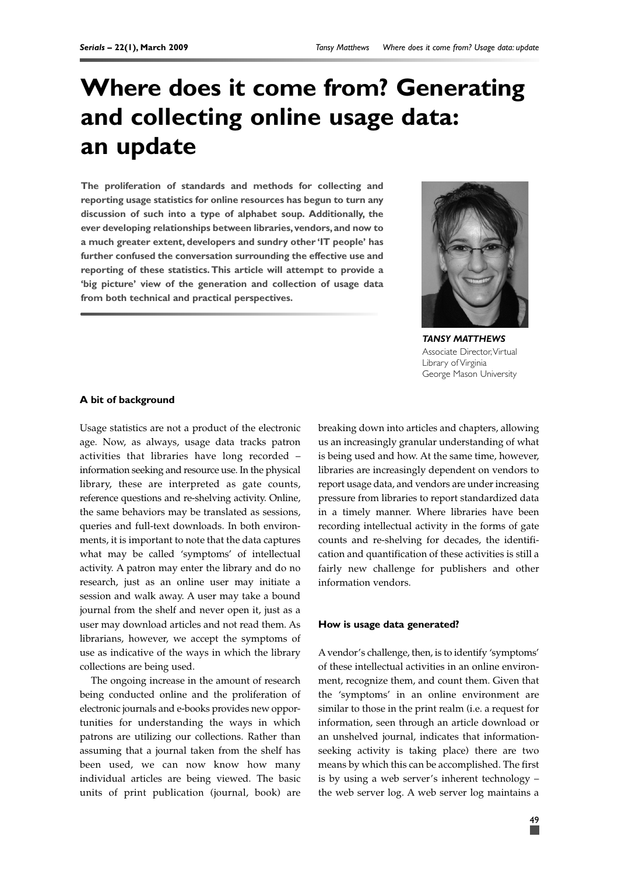# **Where does it come from? Generating and collecting online usage data: an update**

**The proliferation of standards and methods for collecting and reporting usage statistics for online resources has begun to turn any discussion of such into a type of alphabet soup. Additionally, the ever developing relationships between libraries,vendors,and now to a much greater extent, developers and sundry other 'IT people' has further confused the conversation surrounding the effective use and reporting of these statistics.This article will attempt to provide a 'big picture' view of the generation and collection of usage data from both technical and practical perspectives.**



*TANSY MATTHEWS* Associate Director,Virtual Library of Virginia George Mason University

#### **A bit of background**

Usage statistics are not a product of the electronic age. Now, as always, usage data tracks patron activities that libraries have long recorded – information seeking and resource use. In the physical library, these are interpreted as gate counts, reference questions and re-shelving activity. Online, the same behaviors may be translated as sessions, queries and full-text downloads. In both environments, it is important to note that the data captures what may be called 'symptoms' of intellectual activity. A patron may enter the library and do no research, just as an online user may initiate a session and walk away. A user may take a bound journal from the shelf and never open it, just as a user may download articles and not read them. As librarians, however, we accept the symptoms of use as indicative of the ways in which the library collections are being used.

The ongoing increase in the amount of research being conducted online and the proliferation of electronic journals and e-books provides new opportunities for understanding the ways in which patrons are utilizing our collections. Rather than assuming that a journal taken from the shelf has been used, we can now know how many individual articles are being viewed. The basic units of print publication (journal, book) are breaking down into articles and chapters, allowing us an increasingly granular understanding of what is being used and how. At the same time, however, libraries are increasingly dependent on vendors to report usage data, and vendors are under increasing pressure from libraries to report standardized data in a timely manner. Where libraries have been recording intellectual activity in the forms of gate counts and re-shelving for decades, the identification and quantification of these activities is still a fairly new challenge for publishers and other information vendors.

#### **How is usage data generated?**

Avendor's challenge, then, is to identify 'symptoms' of these intellectual activities in an online environment, recognize them, and count them. Given that the 'symptoms' in an online environment are similar to those in the print realm (i.e. a request for information, seen through an article download or an unshelved journal, indicates that informationseeking activity is taking place) there are two means by which this can be accomplished. The first is by using a web server's inherent technology – the web server log. A web server log maintains a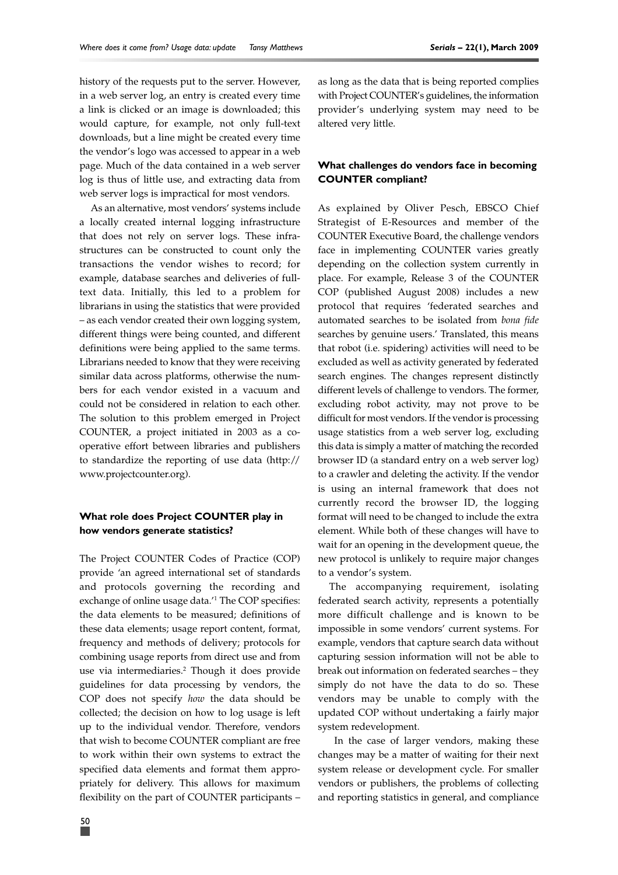history of the requests put to the server. However, in a web server log, an entry is created every time a link is clicked or an image is downloaded; this would capture, for example, not only full-text downloads, but a line might be created every time the vendor's logo was accessed to appear in a web page. Much of the data contained in a web server log is thus of little use, and extracting data from web server logs is impractical for most vendors.

As an alternative, most vendors' systems include a locally created internal logging infrastructure that does not rely on server logs. These infrastructures can be constructed to count only the transactions the vendor wishes to record; for example, database searches and deliveries of fulltext data. Initially, this led to a problem for librarians in using the statistics that were provided – as each vendor created their own logging system, different things were being counted, and different definitions were being applied to the same terms. Librarians needed to know that they were receiving similar data across platforms, otherwise the numbers for each vendor existed in a vacuum and could not be considered in relation to each other. The solution to this problem emerged in Project COUNTER, a project initiated in 2003 as a cooperative effort between libraries and publishers to standardize the reporting of use data (http:// www.projectcounter.org).

## **What role does Project COUNTER play in how vendors generate statistics?**

The Project COUNTER Codes of Practice (COP) provide 'an agreed international set of standards and protocols governing the recording and exchange of online usage data.'1 The COP specifies: the data elements to be measured; definitions of these data elements; usage report content, format, frequency and methods of delivery; protocols for combining usage reports from direct use and from use via intermediaries.2 Though it does provide guidelines for data processing by vendors, the COP does not specify *how* the data should be collected; the decision on how to log usage is left up to the individual vendor. Therefore, vendors that wish to become COUNTER compliant are free to work within their own systems to extract the specified data elements and format them appropriately for delivery. This allows for maximum flexibility on the part of COUNTER participants –

as long as the data that is being reported complies with Project COUNTER's guidelines, the information provider's underlying system may need to be altered very little.

### **What challenges do vendors face in becoming COUNTER compliant?**

As explained by Oliver Pesch, EBSCO Chief Strategist of E-Resources and member of the COUNTER Executive Board, the challenge vendors face in implementing COUNTER varies greatly depending on the collection system currently in place. For example, Release 3 of the COUNTER COP (published August 2008) includes a new protocol that requires 'federated searches and automated searches to be isolated from *bona fide* searches by genuine users.' Translated, this means that robot (i.e. spidering) activities will need to be excluded as well as activity generated by federated search engines. The changes represent distinctly different levels of challenge to vendors. The former, excluding robot activity, may not prove to be difficult for most vendors. If the vendor is processing usage statistics from a web server log, excluding this data is simply a matter of matching the recorded browser ID (a standard entry on a web server log) to a crawler and deleting the activity. If the vendor is using an internal framework that does not currently record the browser ID, the logging format will need to be changed to include the extra element. While both of these changes will have to wait for an opening in the development queue, the new protocol is unlikely to require major changes to a vendor's system.

The accompanying requirement, isolating federated search activity, represents a potentially more difficult challenge and is known to be impossible in some vendors' current systems. For example, vendors that capture search data without capturing session information will not be able to break out information on federated searches – they simply do not have the data to do so. These vendors may be unable to comply with the updated COP without undertaking a fairly major system redevelopment.

In the case of larger vendors, making these changes may be a matter of waiting for their next system release or development cycle. For smaller vendors or publishers, the problems of collecting and reporting statistics in general, and compliance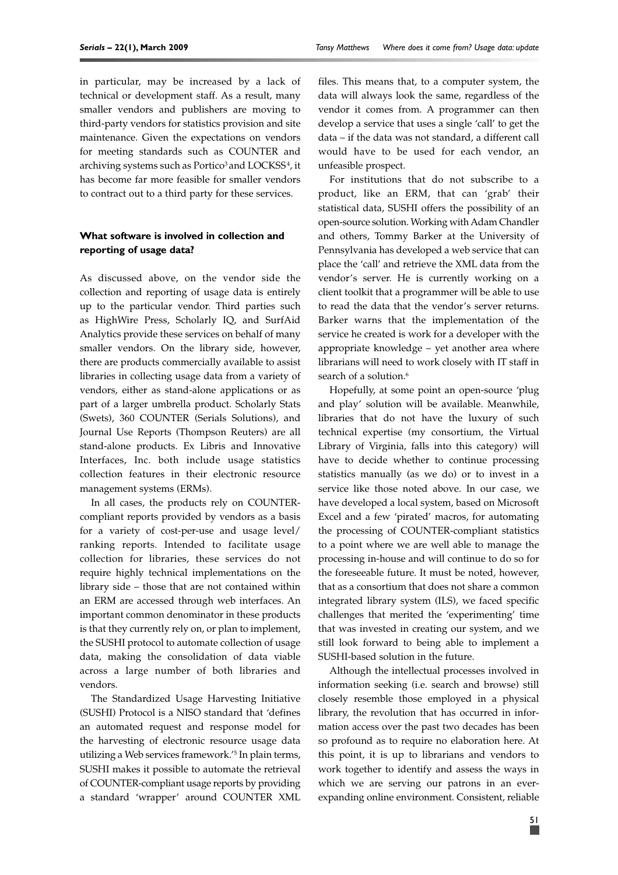in particular, may be increased by a lack of technical or development staff. As a result, many smaller vendors and publishers are moving to third-party vendors for statistics provision and site maintenance. Given the expectations on vendors for meeting standards such as COUNTER and archiving systems such as  $\rm Portico^3$  and  $\rm LOCKSS^4$ , it has become far more feasible for smaller vendors to contract out to a third party for these services.

## **What software is involved in collection and reporting of usage data?**

As discussed above, on the vendor side the collection and reporting of usage data is entirely up to the particular vendor. Third parties such as HighWire Press, Scholarly IQ, and SurfAid Analytics provide these services on behalf of many smaller vendors. On the library side, however, there are products commercially available to assist libraries in collecting usage data from a variety of vendors, either as stand-alone applications or as part of a larger umbrella product. Scholarly Stats (Swets), 360 COUNTER (Serials Solutions), and Journal Use Reports (Thompson Reuters) are all stand-alone products. Ex Libris and Innovative Interfaces, Inc. both include usage statistics collection features in their electronic resource management systems (ERMs).

In all cases, the products rely on COUNTERcompliant reports provided by vendors as a basis for a variety of cost-per-use and usage level/ ranking reports. Intended to facilitate usage collection for libraries, these services do not require highly technical implementations on the library side – those that are not contained within an ERM are accessed through web interfaces. An important common denominator in these products is that they currently rely on, or plan to implement, the SUSHI protocol to automate collection of usage data, making the consolidation of data viable across a large number of both libraries and vendors.

The Standardized Usage Harvesting Initiative (SUSHI) Protocol is a NISO standard that 'defines an automated request and response model for the harvesting of electronic resource usage data utilizing a Web services framework.'5 In plain terms, SUSHI makes it possible to automate the retrieval of COUNTER-compliant usage reports by providing a standard 'wrapper' around COUNTER XML files. This means that, to a computer system, the data will always look the same, regardless of the vendor it comes from. A programmer can then develop a service that uses a single 'call' to get the data – if the data was not standard, a different call would have to be used for each vendor, an unfeasible prospect.

For institutions that do not subscribe to a product, like an ERM, that can 'grab' their statistical data, SUSHI offers the possibility of an open-source solution. Working with Adam Chandler and others, Tommy Barker at the University of Pennsylvania has developed a web service that can place the 'call' and retrieve the XML data from the vendor's server. He is currently working on a client toolkit that a programmer will be able to use to read the data that the vendor's server returns. Barker warns that the implementation of the service he created is work for a developer with the appropriate knowledge – yet another area where librarians will need to work closely with IT staff in search of a solution.<sup>6</sup>

Hopefully, at some point an open-source 'plug and play' solution will be available. Meanwhile, libraries that do not have the luxury of such technical expertise (my consortium, the Virtual Library of Virginia, falls into this category) will have to decide whether to continue processing statistics manually (as we do) or to invest in a service like those noted above. In our case, we have developed a local system, based on Microsoft Excel and a few 'pirated' macros, for automating the processing of COUNTER-compliant statistics to a point where we are well able to manage the processing in-house and will continue to do so for the foreseeable future. It must be noted, however, that as a consortium that does not share a common integrated library system (ILS), we faced specific challenges that merited the 'experimenting' time that was invested in creating our system, and we still look forward to being able to implement a SUSHI-based solution in the future.

Although the intellectual processes involved in information seeking (i.e. search and browse) still closely resemble those employed in a physical library, the revolution that has occurred in information access over the past two decades has been so profound as to require no elaboration here. At this point, it is up to librarians and vendors to work together to identify and assess the ways in which we are serving our patrons in an everexpanding online environment. Consistent, reliable